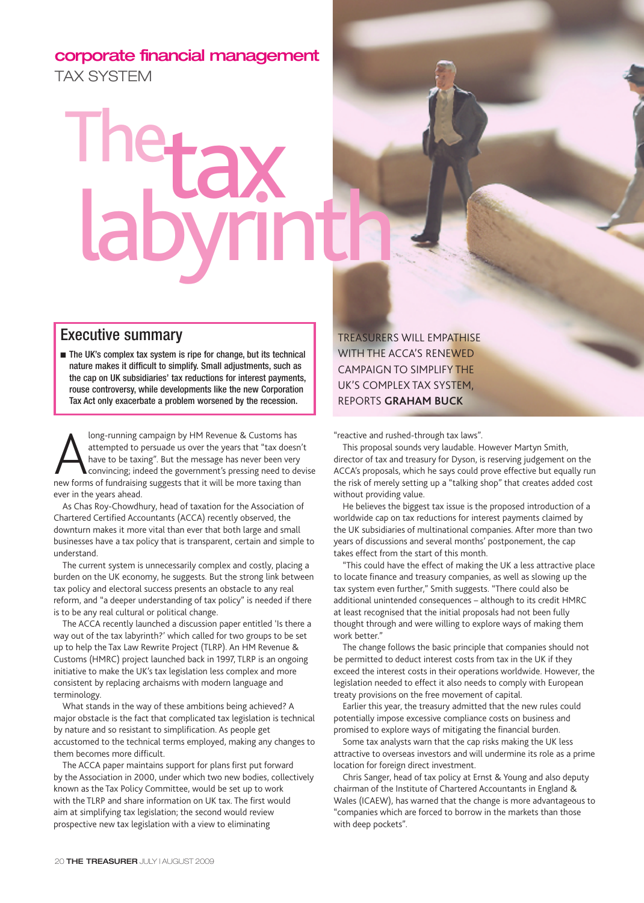## **corporate financial management** TAX SYSTEM

## The Thetax<br>labyrinth

## Executive summary

■ The UK's complex tax system is ripe for change, but its technical nature makes it difficult to simplify. Small adjustments, such as the cap on UK subsidiaries' tax reductions for interest payments, rouse controversy, while developments like the new Corporation Tax Act only exacerbate a problem worsened by the recession.

long-running campaign by HM Revenue & Customs has<br>attempted to persuade us over the years that "tax doesn<br>have to be taxing". But the message has never been very<br>convincing; indeed the government's pressing need to de<br>new long-running campaign by HM Revenue & Customs has attempted to persuade us over the years that "tax doesn't have to be taxing". But the message has never been very convincing; indeed the government's pressing need to devise ever in the years ahead.

As Chas Roy-Chowdhury, head of taxation for the Association of Chartered Certified Accountants (ACCA) recently observed, the downturn makes it more vital than ever that both large and small businesses have a tax policy that is transparent, certain and simple to understand.

The current system is unnecessarily complex and costly, placing a burden on the UK economy, he suggests. But the strong link between tax policy and electoral success presents an obstacle to any real reform, and "a deeper understanding of tax policy" is needed if there is to be any real cultural or political change.

The ACCA recently launched a discussion paper entitled 'Is there a way out of the tax labyrinth?' which called for two groups to be set up to help the Tax Law Rewrite Project (TLRP). An HM Revenue & Customs (HMRC) project launched back in 1997, TLRP is an ongoing initiative to make the UK's tax legislation less complex and more consistent by replacing archaisms with modern language and terminology.

What stands in the way of these ambitions being achieved? A major obstacle is the fact that complicated tax legislation is technical by nature and so resistant to simplification. As people get accustomed to the technical terms employed, making any changes to them becomes more difficult.

The ACCA paper maintains support for plans first put forward by the Association in 2000, under which two new bodies, collectively known as the Tax Policy Committee, would be set up to work with the TLRP and share information on UK tax. The first would aim at simplifying tax legislation; the second would review prospective new tax legislation with a view to eliminating

TREASURERS WILL EMPATHISE WITH THE ACCA'S RENEWED CAMPAIGN TO SIMPLIFY THE UK'S COMPLEX TAX SYSTEM, REPORTS **GRAHAM BUCK**

"reactive and rushed-through tax laws".

This proposal sounds very laudable. However Martyn Smith, director of tax and treasury for Dyson, is reserving judgement on the ACCA's proposals, which he says could prove effective but equally run the risk of merely setting up a "talking shop" that creates added cost without providing value.

He believes the biggest tax issue is the proposed introduction of a worldwide cap on tax reductions for interest payments claimed by the UK subsidiaries of multinational companies. After more than two years of discussions and several months' postponement, the cap takes effect from the start of this month.

"This could have the effect of making the UK a less attractive place to locate finance and treasury companies, as well as slowing up the tax system even further," Smith suggests. "There could also be additional unintended consequences – although to its credit HMRC at least recognised that the initial proposals had not been fully thought through and were willing to explore ways of making them work better."

The change follows the basic principle that companies should not be permitted to deduct interest costs from tax in the UK if they exceed the interest costs in their operations worldwide. However, the legislation needed to effect it also needs to comply with European treaty provisions on the free movement of capital.

Earlier this year, the treasury admitted that the new rules could potentially impose excessive compliance costs on business and promised to explore ways of mitigating the financial burden.

Some tax analysts warn that the cap risks making the UK less attractive to overseas investors and will undermine its role as a prime location for foreign direct investment.

Chris Sanger, head of tax policy at Ernst & Young and also deputy chairman of the Institute of Chartered Accountants in England & Wales (ICAEW), has warned that the change is more advantageous to "companies which are forced to borrow in the markets than those with deep pockets".